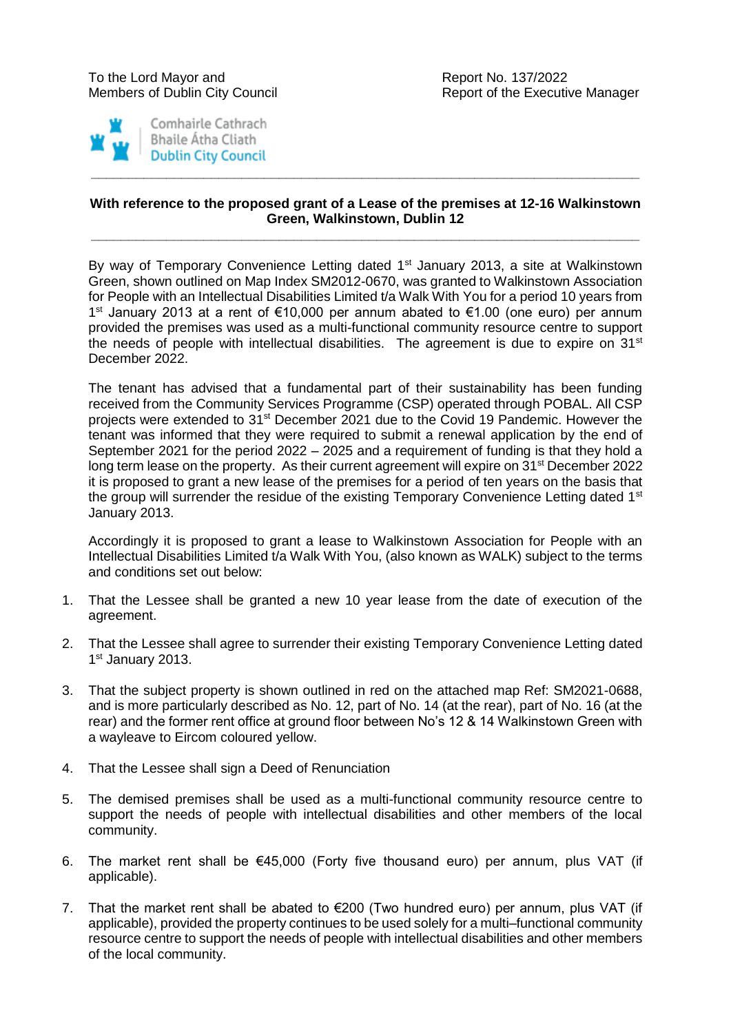



## **With reference to the proposed grant of a Lease of the premises at 12-16 Walkinstown Green, Walkinstown, Dublin 12**

**\_\_\_\_\_\_\_\_\_\_\_\_\_\_\_\_\_\_\_\_\_\_\_\_\_\_\_\_\_\_\_\_\_\_\_\_\_\_\_\_\_\_\_\_\_\_\_\_\_\_\_\_\_\_\_\_\_\_\_\_\_\_\_\_\_\_\_\_\_\_\_\_\_**

**\_\_\_\_\_\_\_\_\_\_\_\_\_\_\_\_\_\_\_\_\_\_\_\_\_\_\_\_\_\_\_\_\_\_\_\_\_\_\_\_\_\_\_\_\_\_\_\_\_\_\_\_\_\_\_\_\_\_\_\_\_\_\_\_\_\_\_\_\_\_\_\_\_**

By way of Temporary Convenience Letting dated 1<sup>st</sup> January 2013, a site at Walkinstown Green, shown outlined on Map Index SM2012-0670, was granted to Walkinstown Association for People with an Intellectual Disabilities Limited t/a Walk With You for a period 10 years from 1 st January 2013 at a rent of €10,000 per annum abated to €1.00 (one euro) per annum provided the premises was used as a multi-functional community resource centre to support the needs of people with intellectual disabilities. The agreement is due to expire on  $31<sup>st</sup>$ December 2022.

The tenant has advised that a fundamental part of their sustainability has been funding received from the Community Services Programme (CSP) operated through POBAL. All CSP projects were extended to 31st December 2021 due to the Covid 19 Pandemic. However the tenant was informed that they were required to submit a renewal application by the end of September 2021 for the period 2022 – 2025 and a requirement of funding is that they hold a long term lease on the property. As their current agreement will expire on 31<sup>st</sup> December 2022 it is proposed to grant a new lease of the premises for a period of ten years on the basis that the group will surrender the residue of the existing Temporary Convenience Letting dated 1<sup>st</sup> January 2013.

Accordingly it is proposed to grant a lease to Walkinstown Association for People with an Intellectual Disabilities Limited t/a Walk With You, (also known as WALK) subject to the terms and conditions set out below:

- 1. That the Lessee shall be granted a new 10 year lease from the date of execution of the agreement.
- 2. That the Lessee shall agree to surrender their existing Temporary Convenience Letting dated 1<sup>st</sup> January 2013.
- 3. That the subject property is shown outlined in red on the attached map Ref: SM2021-0688, and is more particularly described as No. 12, part of No. 14 (at the rear), part of No. 16 (at the rear) and the former rent office at ground floor between No's 12 & 14 Walkinstown Green with a wayleave to Eircom coloured yellow.
- 4. That the Lessee shall sign a Deed of Renunciation
- 5. The demised premises shall be used as a multi-functional community resource centre to support the needs of people with intellectual disabilities and other members of the local community.
- 6. The market rent shall be €45,000 (Forty five thousand euro) per annum, plus VAT (if applicable).
- 7. That the market rent shall be abated to  $\epsilon$ 200 (Two hundred euro) per annum, plus VAT (if applicable), provided the property continues to be used solely for a multi–functional community resource centre to support the needs of people with intellectual disabilities and other members of the local community.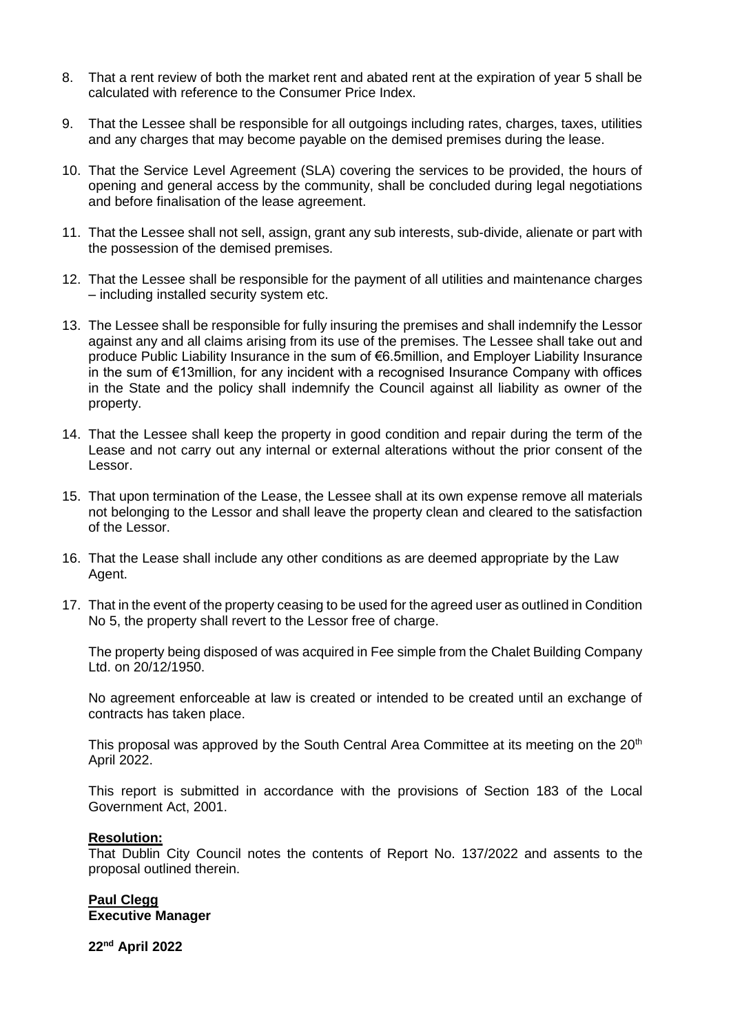- 8. That a rent review of both the market rent and abated rent at the expiration of year 5 shall be calculated with reference to the Consumer Price Index.
- 9. That the Lessee shall be responsible for all outgoings including rates, charges, taxes, utilities and any charges that may become payable on the demised premises during the lease.
- 10. That the Service Level Agreement (SLA) covering the services to be provided, the hours of opening and general access by the community, shall be concluded during legal negotiations and before finalisation of the lease agreement.
- 11. That the Lessee shall not sell, assign, grant any sub interests, sub-divide, alienate or part with the possession of the demised premises.
- 12. That the Lessee shall be responsible for the payment of all utilities and maintenance charges – including installed security system etc.
- 13. The Lessee shall be responsible for fully insuring the premises and shall indemnify the Lessor against any and all claims arising from its use of the premises. The Lessee shall take out and produce Public Liability Insurance in the sum of €6.5million, and Employer Liability Insurance in the sum of €13million, for any incident with a recognised Insurance Company with offices in the State and the policy shall indemnify the Council against all liability as owner of the property.
- 14. That the Lessee shall keep the property in good condition and repair during the term of the Lease and not carry out any internal or external alterations without the prior consent of the Lessor.
- 15. That upon termination of the Lease, the Lessee shall at its own expense remove all materials not belonging to the Lessor and shall leave the property clean and cleared to the satisfaction of the Lessor.
- 16. That the Lease shall include any other conditions as are deemed appropriate by the Law Agent.
- 17. That in the event of the property ceasing to be used for the agreed user as outlined in Condition No 5, the property shall revert to the Lessor free of charge.

The property being disposed of was acquired in Fee simple from the Chalet Building Company Ltd. on 20/12/1950.

No agreement enforceable at law is created or intended to be created until an exchange of contracts has taken place.

This proposal was approved by the South Central Area Committee at its meeting on the 20<sup>th</sup> April 2022.

This report is submitted in accordance with the provisions of Section 183 of the Local Government Act, 2001.

## **Resolution:**

That Dublin City Council notes the contents of Report No. 137/2022 and assents to the proposal outlined therein.

## **Paul Clegg Executive Manager**

**22nd April 2022**